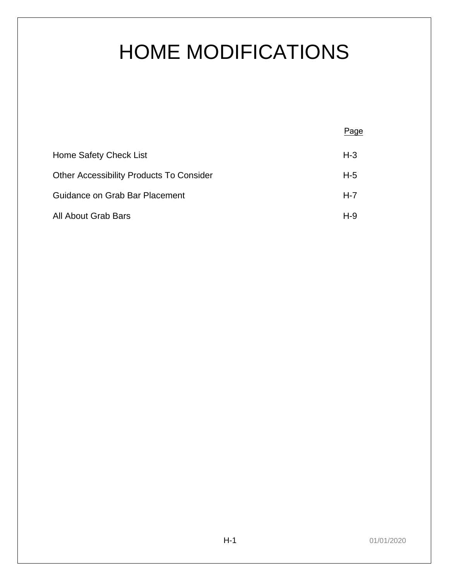# HOME MODIFICATIONS

|                                                 | Page    |
|-------------------------------------------------|---------|
| Home Safety Check List                          | $H-3$   |
| <b>Other Accessibility Products To Consider</b> | $H-5$   |
| Guidance on Grab Bar Placement                  | $H - 7$ |
| All About Grab Bars                             | $H-9$   |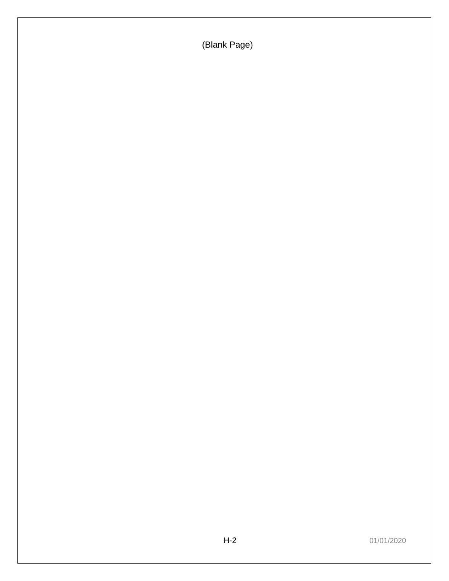(Blank Page)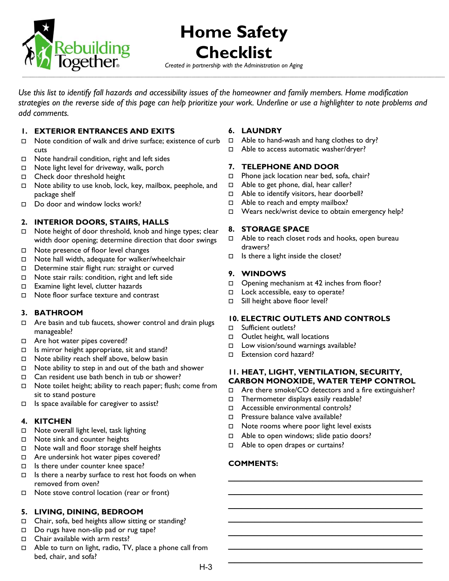

# **Home Safety Checklist**

*Created in partnership with the Administration on Aging* 

*Use this list to identify fall hazards and accessibility issues of the homeowner and family members. Home modification strategies on the reverse side of this page can help prioritize your work. Underline or use a highlighter to note problems and add comments.* 

#### **1. EXTERIOR ENTRANCES AND EXITS**

- □ Note condition of walk and drive surface; existence of curb cuts
- □ Note handrail condition, right and left sides
- □ Note light level for driveway, walk, porch
- □ Check door threshold height
- □ Note ability to use knob, lock, key, mailbox, peephole, and package shelf
- $\Box$  Do door and window locks work?

#### **2. INTERIOR DOORS, STAIRS, HALLS**

- □ Note height of door threshold, knob and hinge types; clear width door opening; determine direction that door swings
- □ Note presence of floor level changes
- $\Box$  Note hall width, adequate for walker/wheelchair
- D Determine stair flight run: straight or curved
- □ Note stair rails: condition, right and left side
- Examine light level, clutter hazards
- □ Note floor surface texture and contrast

#### **3. BATHROOM**

- □ Are basin and tub faucets, shower control and drain plugs manageable?
- □ Are hot water pipes covered?
- $\Box$  Is mirror height appropriate, sit and stand?
- □ Note ability reach shelf above, below basin
- $\Box$  Note ability to step in and out of the bath and shower
- $\Box$  Can resident use bath bench in tub or shower?
- □ Note toilet height; ability to reach paper; flush; come from sit to stand posture
- $\Box$  Is space available for caregiver to assist?

#### **4. KITCHEN**

- □ Note overall light level, task lighting
- □ Note sink and counter heights
- □ Note wall and floor storage shelf heights
- □ Are undersink hot water pipes covered?
- $\Box$  Is there under counter knee space?
- $\Box$  Is there a nearby surface to rest hot foods on when removed from oven?
- $\Box$  Note stove control location (rear or front)

# **5. LIVING, DINING, BEDROOM**

- □ Chair, sofa, bed heights allow sitting or standing?
- $\Box$  Do rugs have non-slip pad or rug tape?
- □ Chair available with arm rests?
- □ Able to turn on light, radio, TV, place a phone call from bed, chair, and sofa?

#### **6. LAUNDRY**

- Able to hand-wash and hang clothes to dry?
- □ Able to access automatic washer/dryer?

#### **7. TELEPHONE AND DOOR**

- $\Box$  Phone jack location near bed, sofa, chair?
- Able to get phone, dial, hear caller?
- Able to identify visitors, hear doorbell?
- Able to reach and empty mailbox?
- D Wears neck/wrist device to obtain emergency help?

#### **8. STORAGE SPACE**

- $\Box$  Able to reach closet rods and hooks, open bureau drawers?
- $\Box$  Is there a light inside the closet?

#### **9. WINDOWS**

- □ Opening mechanism at 42 inches from floor?
- □ Lock accessible, easy to operate?
- $\Box$  Sill height above floor level?

#### **10. ELECTRIC OUTLETS AND CONTROLS**

- □ Sufficient outlets?
- $\Box$  Outlet height, wall locations
- $\Box$  Low vision/sound warnings available?
- □ Extension cord hazard?

#### **11. HEAT, LIGHT, VENTILATION, SECURITY, CARBON MONOXIDE, WATER TEMP CONTROL**

 $\Box$  Are there smoke/CO detectors and a fire extinguisher?

 $\mathcal{L}_\text{max}$  and  $\mathcal{L}_\text{max}$  and  $\mathcal{L}_\text{max}$  and  $\mathcal{L}_\text{max}$  $\mathcal{L}_\text{max}$  and  $\mathcal{L}_\text{max}$  and  $\mathcal{L}_\text{max}$  and  $\mathcal{L}_\text{max}$  $\mathcal{L}_\text{max}$  and  $\mathcal{L}_\text{max}$  and  $\mathcal{L}_\text{max}$  and  $\mathcal{L}_\text{max}$  $\mathcal{L}_\text{max}$  and  $\mathcal{L}_\text{max}$  and  $\mathcal{L}_\text{max}$  and  $\mathcal{L}_\text{max}$  $\mathcal{L}_\text{max}$  and  $\mathcal{L}_\text{max}$  and  $\mathcal{L}_\text{max}$  and  $\mathcal{L}_\text{max}$  $\mathcal{L}_\text{max}$  and  $\mathcal{L}_\text{max}$  and  $\mathcal{L}_\text{max}$  and  $\mathcal{L}_\text{max}$  $\mathcal{L}=\{1,2,3,4,5\}$ 

- $\Box$  Thermometer displays easily readable?
- □ Accessible environmental controls?
- $\Box$  Pressure balance valve available?
- $\Box$  Note rooms where poor light level exists
- □ Able to open windows; slide patio doors?
- □ Able to open drapes or curtains?

#### **COMMENTS:**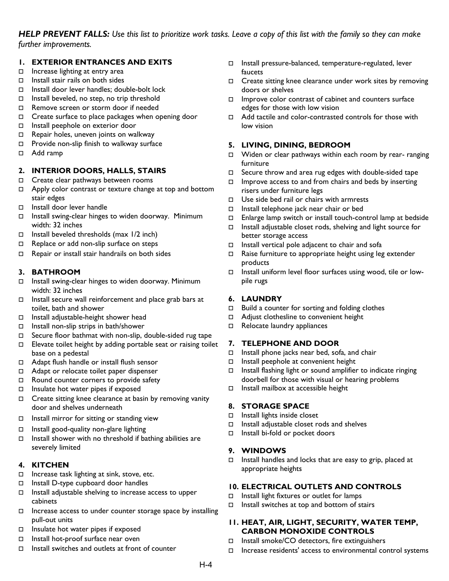*HELP PREVENT FALLS: Use this list to prioritize work tasks. Leave a copy of this list with the family so they can make further improvements.* 

#### **1. EXTERIOR ENTRANCES AND EXITS**

- $\Box$  Increase lighting at entry area
- $\Box$  Install stair rails on both sides
- $\Box$  Install door lever handles; double-bolt lock
- $\Box$  Install beveled, no step, no trip threshold
- □ Remove screen or storm door if needed
- □ Create surface to place packages when opening door
- □ Install peephole on exterior door
- □ Repair holes, uneven joints on walkway
- □ Provide non-slip finish to walkway surface
- Add ramp

#### **2. INTERIOR DOORS, HALLS, STAIRS**

- Create clear pathways between rooms
- □ Apply color contrast or texture change at top and bottom stair edges
- □ Install door lever handle
- $\Box$  Install swing-clear hinges to widen doorway. Minimum width: 32 inches
- $\Box$  Install beveled thresholds (max  $1/2$  inch)
- □ Replace or add non-slip surface on steps
- Repair or install stair handrails on both sides

#### **3. BATHROOM**

- $\Box$  Install swing-clear hinges to widen doorway. Minimum width: 32 inches
- $\Box$  Install secure wall reinforcement and place grab bars at toilet, bath and shower
- $\Box$  Install adjustable-height shower head
- Install non-slip strips in bath/shower
- $\square$  Secure floor bathmat with non-slip, double-sided rug tape
- $\Box$  Elevate toilet height by adding portable seat or raising toilet base on a pedestal
- Adapt flush handle or install flush sensor
- Adapt or relocate toilet paper dispenser
- $\Box$  Round counter corners to provide safety
- $\Box$  Insulate hot water pipes if exposed
- $\Box$  Create sitting knee clearance at basin by removing vanity door and shelves underneath
- $\Box$  Install mirror for sitting or standing view
- □ Install good-quality non-glare lighting
- $\Box$  Install shower with no threshold if bathing abilities are severely limited

#### **4. KITCHEN**

- $\Box$  Increase task lighting at sink, stove, etc.
- Install D-type cupboard door handles
- $\Box$  Install adjustable shelving to increase access to upper cabinets
- $\Box$  Increase access to under counter storage space by installing pull-out units
- $\Box$  Insulate hot water pipes if exposed
- □ Install hot-proof surface near oven
- $\Box$  Install switches and outlets at front of counter
- □ Install pressure-balanced, temperature-regulated, lever faucets
- $\Box$  Create sitting knee clearance under work sites by removing doors or shelves
- $\Box$  Improve color contrast of cabinet and counters surface edges for those with low vision
- □ Add tactile and color-contrasted controls for those with low vision

#### **5. LIVING, DINING, BEDROOM**

- $\Box$  Widen or clear pathways within each room by rear- ranging furniture
- □ Secure throw and area rug edges with double-sided tape
- $\Box$  Improve access to and from chairs and beds by inserting risers under furniture legs
- $\Box$  Use side bed rail or chairs with armrests
- $\Box$  Install telephone jack near chair or bed
- □ Enlarge lamp switch or install touch-control lamp at bedside
- $\Box$  Install adjustable closet rods, shelving and light source for better storage access
- $\Box$  Install vertical pole adjacent to chair and sofa
- □ Raise furniture to appropriate height using leg extender products
- □ Install uniform level floor surfaces using wood, tile or lowpile rugs

#### **6. LAUNDRY**

- $\Box$  Build a counter for sorting and folding clothes
- Adjust clothesline to convenient height
- □ Relocate laundry appliances

#### **7. TELEPHONE AND DOOR**

- $\Box$  Install phone jacks near bed, sofa, and chair
- □ Install peephole at convenient height
- $\Box$  Install flashing light or sound amplifier to indicate ringing doorbell for those with visual or hearing problems
- $\Box$  Install mailbox at accessible height

#### **8. STORAGE SPACE**

- $\Box$  Install lights inside closet
- $\Box$  Install adjustable closet rods and shelves
- $\Box$  Install bi-fold or pocket doors

#### **9. WINDOWS**

 $\Box$  Install handles and locks that are easy to grip, placed at appropriate heights

#### **10. ELECTRICAL OUTLETS AND CONTROLS**

- $\Box$  Install light fixtures or outlet for lamps
- $\Box$  Install switches at top and bottom of stairs

#### **11. HEAT, AIR, LIGHT, SECURITY, WATER TEMP, CARBON MONOXIDE CONTROLS**

- $\Box$  Install smoke/CO detectors, fire extinguishers
- $\Box$  Increase residents' access to environmental control systems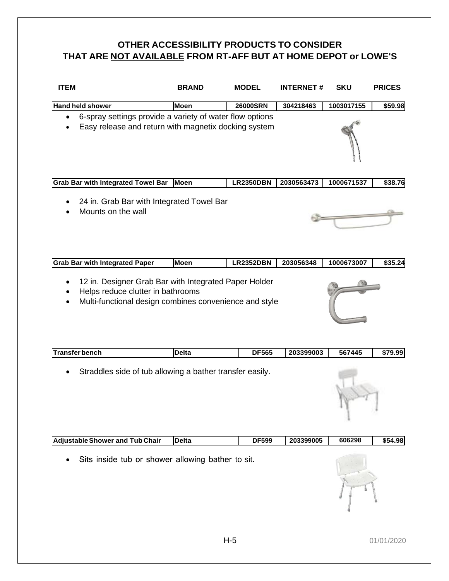# **OTHER ACCESSIBILITY PRODUCTS TO CONSIDER THAT ARE NOT AVAILABLE FROM RT**‐**AFF BUT AT HOME DEPOT or LOWE'S**

| <b>ITEM</b> |                                                                                                                                                      | <b>BRAND</b> | <b>MODEL</b>     | <b>INTERNET#</b> | <b>SKU</b> | <b>PRICES</b> |  |
|-------------|------------------------------------------------------------------------------------------------------------------------------------------------------|--------------|------------------|------------------|------------|---------------|--|
|             | <b>Hand held shower</b>                                                                                                                              | Moen         | 26000SRN         | 304218463        | 1003017155 | \$59.98       |  |
|             | 6-spray settings provide a variety of water flow options<br>Easy release and return with magnetix docking system                                     |              |                  |                  |            |               |  |
|             | <b>Grab Bar with Integrated Towel Bar</b>                                                                                                            | <b>Moen</b>  | <b>LR2350DBN</b> | 2030563473       | 1000671537 | \$38.76       |  |
|             | 24 in. Grab Bar with Integrated Towel Bar<br>Mounts on the wall                                                                                      |              |                  |                  |            |               |  |
|             | <b>Grab Bar with Integrated Paper</b>                                                                                                                | <b>Moen</b>  | <b>LR2352DBN</b> | 203056348        | 1000673007 | \$35.24       |  |
|             | 12 in. Designer Grab Bar with Integrated Paper Holder<br>Helps reduce clutter in bathrooms<br>Multi-functional design combines convenience and style |              |                  |                  |            |               |  |
|             | <b>Transfer bench</b>                                                                                                                                | <b>Delta</b> | <b>DF565</b>     | 203399003        | 567445     | \$79.99       |  |
|             | Straddles side of tub allowing a bather transfer easily.                                                                                             |              |                  |                  |            |               |  |
|             | <b>Adjustable Shower and Tub Chair</b>                                                                                                               | <b>Delta</b> | <b>DF599</b>     | 203399005        | 606298     | \$54.98       |  |
|             | Sits inside tub or shower allowing bather to sit.                                                                                                    |              |                  |                  |            |               |  |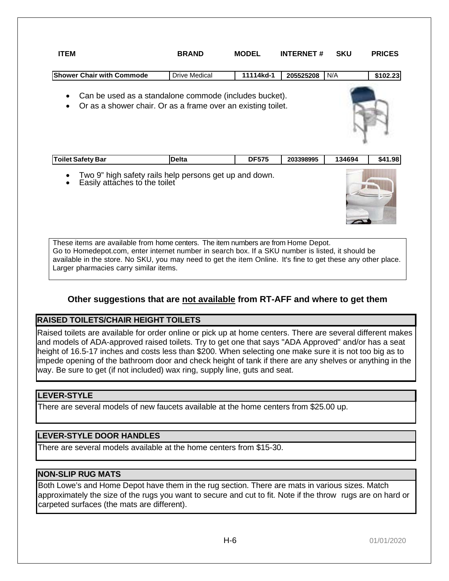| <b>ITEM</b>                                                                                          | <b>BRAND</b>                                                                                                           | <b>MODEL</b> | <b>INTERNET#</b> | <b>SKU</b> | <b>PRICES</b> |  |
|------------------------------------------------------------------------------------------------------|------------------------------------------------------------------------------------------------------------------------|--------------|------------------|------------|---------------|--|
| <b>Shower Chair with Commode</b>                                                                     | Drive Medical                                                                                                          | 11114kd-1    | 205525208        | N/A        | \$102.23      |  |
|                                                                                                      | Can be used as a standalone commode (includes bucket).<br>Or as a shower chair. Or as a frame over an existing toilet. |              |                  |            |               |  |
| <b>Toilet Safety Bar</b>                                                                             | <b>Delta</b>                                                                                                           | <b>DF575</b> | 203398995        | 134694     | \$41.98       |  |
| Two 9" high safety rails help persons get up and down.<br>Easily attaches to the toilet<br>$\bullet$ |                                                                                                                        |              |                  |            |               |  |

These items are available from home centers. The item numbers are from Home Depot. Go to Homedepot.com, enter internet number in search box. If a SKU number is listed, it should be available in the store. No SKU, you may need to get the item Online. It's fine to get these any other place. Larger pharmacies carry similar items.

# **Other suggestions that are not available from RT-AFF and where to get them**

#### **RAISED TOILETS/CHAIR HEIGHT TOILETS**

Raised toilets are available for order online or pick up at home centers. There are several different makes and models of ADA-approved raised toilets. Try to get one that says "ADA Approved" and/or has a seat height of 16.5-17 inches and costs less than \$200. When selecting one make sure it is not too big as to impede opening of the bathroom door and check height of tank if there are any shelves or anything in the way. Be sure to get (if not included) wax ring, supply line, guts and seat.

# **LEVER-STYLE**

There are several models of new faucets available at the home centers from \$25.00 up.

# **LEVER-STYLE DOOR HANDLES**

There are several models available at the home centers from \$15-30.

# **NON-SLIP RUG MATS**

Both Lowe's and Home Depot have them in the rug section. There are mats in various sizes. Match approximately the size of the rugs you want to secure and cut to fit. Note if the throw rugs are on hard or carpeted surfaces (the mats are different).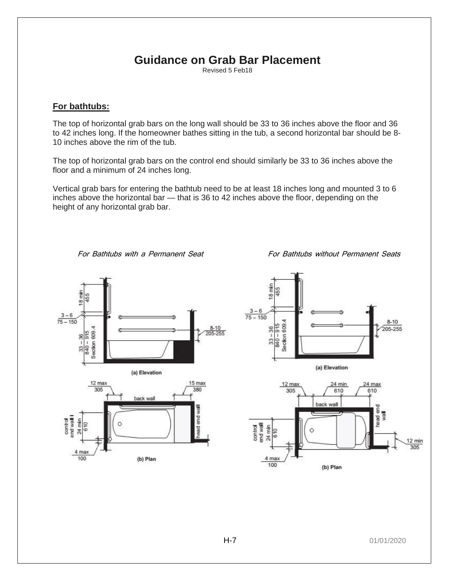# **Guidance on Grab Bar Placement**

Revised 5 Feb18

### **For bathtubs:**

The top of horizontal grab bars on the long wall should be 33 to 36 inches above the floor and 36 to 42 inches long. If the homeowner bathes sitting in the tub, a second horizontal bar should be 8- 10 inches above the rim of the tub.

The top of horizontal grab bars on the control end should similarly be 33 to 36 inches above the floor and a minimum of 24 inches long.

Vertical grab bars for entering the bathtub need to be at least 18 inches long and mounted 3 to 6 inches above the horizontal bar — that is 36 to 42 inches above the floor, depending on the height of any horizontal grab bar.

For Bathtubs with a Permanent Seat For Bathtubs without Permanent Seats



18 min  $\frac{3-6}{75-150}$  $8 - 10$  $33 - 36$ <br> $840 - 915$ <br>Section 609.4 205-255 (a) Elevation

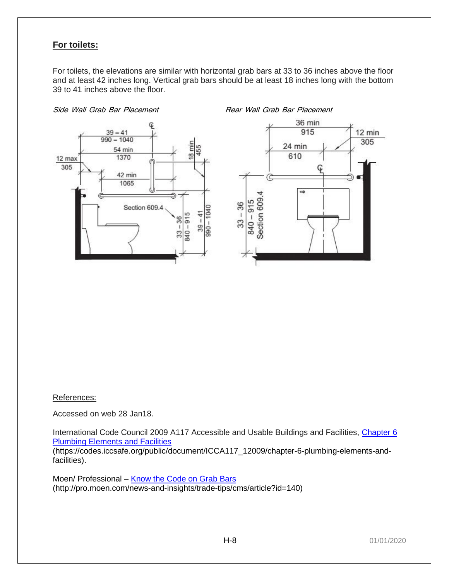# **For toilets:**

For toilets, the elevations are similar with horizontal grab bars at 33 to 36 inches above the floor and at least 42 inches long. Vertical grab bars should be at least 18 inches long with the bottom 39 to 41 inches above the floor.

#### Side Wall Grab Bar Placement **Rear Wall Grab Bar Placement**





#### References:

Accessed on web 28 Jan18.

International Code Council 2009 A117 Accessible and Usable Buildings and Facilities, [Chapter 6](https://codes.iccsafe.org/public/document/ICCA117_12009/chapter-6-plumbing-elements-and-facilities)  [Plumbing Elements and Facilities](https://codes.iccsafe.org/public/document/ICCA117_12009/chapter-6-plumbing-elements-and-facilities)

(https://codes.iccsafe.org/public/document/ICCA117\_12009/chapter-6-plumbing-elements-andfacilities).

Moen/ Professional – [Know the Code on Grab Bars](http://pro.moen.com/news-and-insights/trade-tips/cms/article?id=140) (http://pro.moen.com/news-and-insights/trade-tips/cms/article?id=140)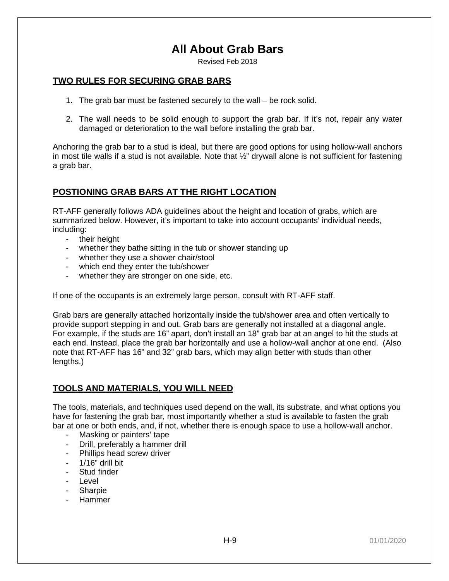# **All About Grab Bars**

Revised Feb 2018

# **TWO RULES FOR SECURING GRAB BARS**

- 1. The grab bar must be fastened securely to the wall be rock solid.
- 2. The wall needs to be solid enough to support the grab bar. If it's not, repair any water damaged or deterioration to the wall before installing the grab bar.

Anchoring the grab bar to a stud is ideal, but there are good options for using hollow-wall anchors in most tile walls if a stud is not available. Note that ½" drywall alone is not sufficient for fastening a grab bar.

# **POSTIONING GRAB BARS AT THE RIGHT LOCATION**

RT-AFF generally follows ADA guidelines about the height and location of grabs, which are summarized below. However, it's important to take into account occupants' individual needs, including:

- their height
- whether they bathe sitting in the tub or shower standing up
- whether they use a shower chair/stool
- which end they enter the tub/shower
- whether they are stronger on one side, etc.

If one of the occupants is an extremely large person, consult with RT-AFF staff.

Grab bars are generally attached horizontally inside the tub/shower area and often vertically to provide support stepping in and out. Grab bars are generally not installed at a diagonal angle. For example, if the studs are 16" apart, don't install an 18" grab bar at an angel to hit the studs at each end. Instead, place the grab bar horizontally and use a hollow-wall anchor at one end. (Also note that RT-AFF has 16" and 32" grab bars, which may align better with studs than other lengths.)

# **TOOLS AND MATERIALS, YOU WILL NEED**

The tools, materials, and techniques used depend on the wall, its substrate, and what options you have for fastening the grab bar, most importantly whether a stud is available to fasten the grab bar at one or both ends, and, if not, whether there is enough space to use a hollow-wall anchor.

- Masking or painters' tape
- Drill, preferably a hammer drill
- Phillips head screw driver
- $-1/16"$  drill bit
- Stud finder
- **Level**
- **Sharpie**
- Hammer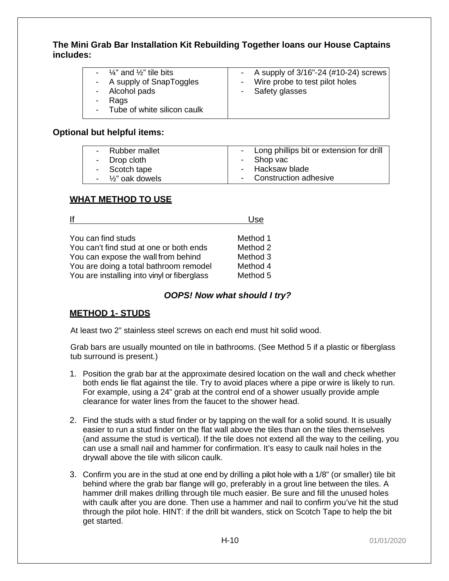# **The Mini Grab Bar Installation Kit Rebuilding Together loans our House Captains includes:**

| - $\frac{1}{4}$ and $\frac{1}{2}$ tile bits | - A supply of $3/16" - 24$ (#10-24) screws |
|---------------------------------------------|--------------------------------------------|
| - A supply of SnapToggles                   | - Wire probe to test pilot holes           |
| - Alcohol pads                              | - Safety glasses                           |
| Rags                                        |                                            |
| - Tube of white silicon caulk               |                                            |
|                                             |                                            |

# **Optional but helpful items:**

| - Rubber mallet          | - Long phillips bit or extension for drill |
|--------------------------|--------------------------------------------|
| - Drop cloth             | - Shop vac                                 |
| - Scotch tape            | - Hacksaw blade                            |
| $\frac{1}{2}$ oak dowels | - Construction adhesive                    |

# **WHAT METHOD TO USE**

| <b>If</b>                                   | Use      |
|---------------------------------------------|----------|
|                                             |          |
| You can find studs                          | Method 1 |
| You can't find stud at one or both ends     | Method 2 |
| You can expose the wall from behind         | Method 3 |
| You are doing a total bathroom remodel      | Method 4 |
| You are installing into vinyl or fiberglass | Method 5 |

# *OOPS! Now what should I try?*

# **METHOD 1- STUDS**

At least two 2" stainless steel screws on each end must hit solid wood.

Grab bars are usually mounted on tile in bathrooms. (See Method 5 if a plastic or fiberglass tub surround is present.)

- 1. Position the grab bar at the approximate desired location on the wall and check whether both ends lie flat against the tile. Try to avoid places where a pipe orwire is likely to run. For example, using a 24" grab at the control end of a shower usually provide ample clearance for water lines from the faucet to the shower head.
- 2. Find the studs with a stud finder or by tapping on the wall for a solid sound. It is usually easier to run a stud finder on the flat wall above the tiles than on the tiles themselves (and assume the stud is vertical). If the tile does not extend all the way to the ceiling, you can use a small nail and hammer for confirmation. It's easy to caulk nail holes in the drywall above the tile with silicon caulk.
- 3. Confirm you are in the stud at one end by drilling a pilot hole with a 1/8" (or smaller) tile bit behind where the grab bar flange will go, preferably in a grout line between the tiles. A hammer drill makes drilling through tile much easier. Be sure and fill the unused holes with caulk after you are done. Then use a hammer and nail to confirm you've hit the stud through the pilot hole. HINT: if the drill bit wanders, stick on Scotch Tape to help the bit get started.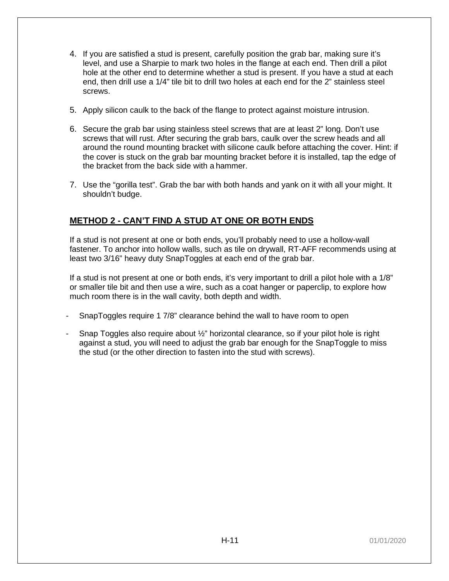- 4. If you are satisfied a stud is present, carefully position the grab bar, making sure it's level, and use a Sharpie to mark two holes in the flange at each end. Then drill a pilot hole at the other end to determine whether a stud is present. If you have a stud at each end, then drill use a 1/4" tile bit to drill two holes at each end for the 2" stainless steel screws.
- 5. Apply silicon caulk to the back of the flange to protect against moisture intrusion.
- 6. Secure the grab bar using stainless steel screws that are at least 2" long. Don't use screws that will rust. After securing the grab bars, caulk over the screw heads and all around the round mounting bracket with silicone caulk before attaching the cover. Hint: if the cover is stuck on the grab bar mounting bracket before it is installed, tap the edge of the bracket from the back side with a hammer.
- 7. Use the "gorilla test". Grab the bar with both hands and yank on it with all your might. It shouldn't budge.

# **METHOD 2 - CAN'T FIND A STUD AT ONE OR BOTH ENDS**

If a stud is not present at one or both ends, you'll probably need to use a hollow-wall fastener. To anchor into hollow walls, such as tile on drywall, RT-AFF recommends using at least two 3/16" heavy duty SnapToggles at each end of the grab bar.

If a stud is not present at one or both ends, it's very important to drill a pilot hole with a 1/8" or smaller tile bit and then use a wire, such as a coat hanger or paperclip, to explore how much room there is in the wall cavity, both depth and width.

- SnapToggles require 1 7/8" clearance behind the wall to have room to open
- Snap Toggles also require about  $\frac{1}{2}$ " horizontal clearance, so if your pilot hole is right against a stud, you will need to adjust the grab bar enough for the SnapToggle to miss the stud (or the other direction to fasten into the stud with screws).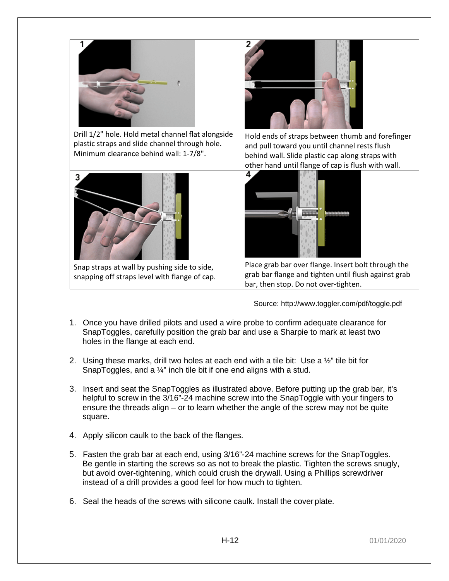

Drill 1/2" hole. Hold metal channel flat alongside plastic straps and slide channel through hole. Minimum clearance behind wall: 1-7/8".



Snap straps at wall by pushing side to side, snapping off straps level with flange of cap.



Hold ends of straps between thumb and forefinger and pull toward you until channel rests flush behind wall. Slide plastic cap along straps with other hand until flange of cap is flush with wall.



Place grab bar over flange. Insert bolt through the grab bar flange and tighten until flush against grab bar, then stop. Do not over-tighten.

Source: http://www.toggler.com/pdf/toggle.pdf

- 1. Once you have drilled pilots and used a wire probe to confirm adequate clearance for SnapToggles, carefully position the grab bar and use a Sharpie to mark at least two holes in the flange at each end.
- 2. Using these marks, drill two holes at each end with a tile bit: Use a  $\frac{1}{2}$ " tile bit for SnapToggles, and a ¼" inch tile bit if one end aligns with a stud.
- 3. Insert and seat the SnapToggles as illustrated above. Before putting up the grab bar, it's helpful to screw in the 3/16"-24 machine screw into the SnapToggle with your fingers to ensure the threads align – or to learn whether the angle of the screw may not be quite square.
- 4. Apply silicon caulk to the back of the flanges.
- 5. Fasten the grab bar at each end, using 3/16"-24 machine screws for the SnapToggles. Be gentle in starting the screws so as not to break the plastic. Tighten the screws snugly, but avoid over-tightening, which could crush the drywall. Using a Phillips screwdriver instead of a drill provides a good feel for how much to tighten.
- 6. Seal the heads of the screws with silicone caulk. Install the cover plate.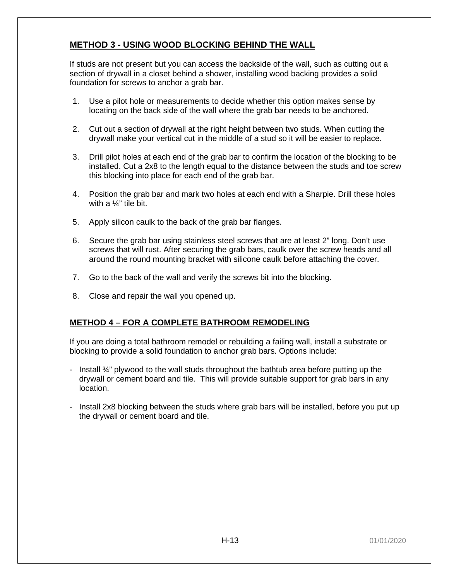# **METHOD 3 - USING WOOD BLOCKING BEHIND THE WALL**

If studs are not present but you can access the backside of the wall, such as cutting out a section of drywall in a closet behind a shower, installing wood backing provides a solid foundation for screws to anchor a grab bar.

- 1. Use a pilot hole or measurements to decide whether this option makes sense by locating on the back side of the wall where the grab bar needs to be anchored.
- 2. Cut out a section of drywall at the right height between two studs. When cutting the drywall make your vertical cut in the middle of a stud so it will be easier to replace.
- 3. Drill pilot holes at each end of the grab bar to confirm the location of the blocking to be installed. Cut a 2x8 to the length equal to the distance between the studs and toe screw this blocking into place for each end of the grab bar.
- 4. Position the grab bar and mark two holes at each end with a Sharpie. Drill these holes with a ¼" tile bit.
- 5. Apply silicon caulk to the back of the grab bar flanges.
- 6. Secure the grab bar using stainless steel screws that are at least 2" long. Don't use screws that will rust. After securing the grab bars, caulk over the screw heads and all around the round mounting bracket with silicone caulk before attaching the cover.
- 7. Go to the back of the wall and verify the screws bit into the blocking.
- 8. Close and repair the wall you opened up.

# **METHOD 4 – FOR A COMPLETE BATHROOM REMODELING**

If you are doing a total bathroom remodel or rebuilding a failing wall, install a substrate or blocking to provide a solid foundation to anchor grab bars. Options include:

- Install ¾" plywood to the wall studs throughout the bathtub area before putting up the drywall or cement board and tile. This will provide suitable support for grab bars in any location.
- Install 2x8 blocking between the studs where grab bars will be installed, before you put up the drywall or cement board and tile.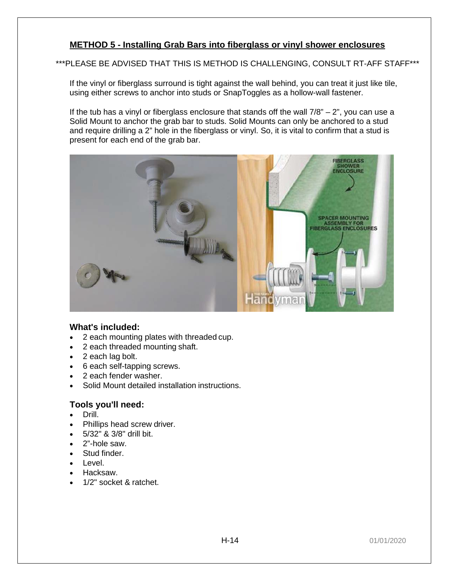# **METHOD 5 - Installing Grab Bars into fiberglass or vinyl shower enclosures**

\*\*\*PLEASE BE ADVISED THAT THIS IS METHOD IS CHALLENGING, CONSULT RT-AFF STAFF\*\*\*

If the vinyl or fiberglass surround is tight against the wall behind, you can treat it just like tile, using either screws to anchor into studs or SnapToggles as a hollow-wall fastener.

If the tub has a vinyl or fiberglass enclosure that stands off the wall  $7/8" - 2"$ , you can use a Solid Mount to anchor the grab bar to studs. Solid Mounts can only be anchored to a stud and require drilling a 2" hole in the fiberglass or vinyl. So, it is vital to confirm that a stud is present for each end of the grab bar.



#### **What's included:**

- 2 each mounting plates with threaded cup.
- 2 each threaded mounting shaft.
- 2 each lag bolt.
- 6 each self-tapping screws.
- 2 each fender washer.
- Solid Mount detailed installation instructions.

### **Tools you'll need:**

- Drill.
- Phillips head screw driver.
- 5/32" & 3/8" drill bit.
- 2"-hole saw.
- Stud finder.
- Level.
- Hacksaw.
- 1/2" socket & ratchet.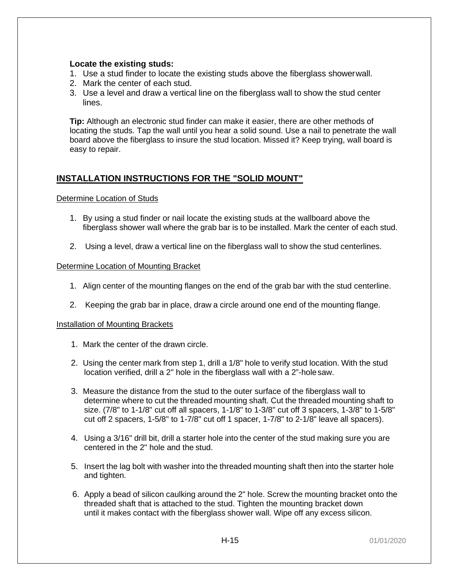#### **Locate the existing studs:**

- 1. Use a stud finder to locate the existing studs above the fiberglass showerwall.
- 2. Mark the center of each stud.
- 3. Use a level and draw a vertical line on the fiberglass wall to show the stud center lines.

**Tip:** Although an electronic stud finder can make it easier, there are other methods of locating the studs. Tap the wall until you hear a solid sound. Use a nail to penetrate the wall board above the fiberglass to insure the stud location. Missed it? Keep trying, wall board is easy to repair.

# **INSTALLATION INSTRUCTIONS FOR THE "SOLID MOUNT"**

#### Determine Location of Studs

- 1. By using a stud finder or nail locate the existing studs at the wallboard above the fiberglass shower wall where the grab bar is to be installed. Mark the center of each stud.
- 2. Using a level, draw a vertical line on the fiberglass wall to show the stud centerlines.

#### Determine Location of Mounting Bracket

- 1. Align center of the mounting flanges on the end of the grab bar with the stud centerline.
- 2. Keeping the grab bar in place, draw a circle around one end of the mounting flange.

#### Installation of Mounting Brackets

- 1. Mark the center of the drawn circle.
- 2. Using the center mark from step 1, drill a 1/8" hole to verify stud location. With the stud location verified, drill a 2" hole in the fiberglass wall with a 2"-holesaw.
- 3. Measure the distance from the stud to the outer surface of the fiberglass wall to determine where to cut the threaded mounting shaft. Cut the threaded mounting shaft to size. (7/8" to 1-1/8" cut off all spacers, 1-1/8" to 1-3/8" cut off 3 spacers, 1-3/8" to 1-5/8" cut off 2 spacers, 1-5/8" to 1-7/8" cut off 1 spacer, 1-7/8" to 2-1/8" leave all spacers).
- 4. Using a 3/16" drill bit, drill a starter hole into the center of the stud making sure you are centered in the 2" hole and the stud.
- 5. Insert the lag bolt with washer into the threaded mounting shaft then into the starter hole and tighten.
- 6. Apply a bead of silicon caulking around the 2" hole. Screw the mounting bracket onto the threaded shaft that is attached to the stud. Tighten the mounting bracket down until it makes contact with the fiberglass shower wall. Wipe off any excess silicon.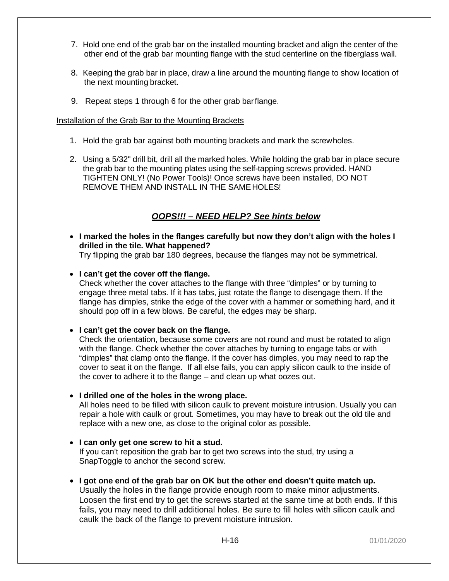- 7. Hold one end of the grab bar on the installed mounting bracket and align the center of the other end of the grab bar mounting flange with the stud centerline on the fiberglass wall.
- 8. Keeping the grab bar in place, draw a line around the mounting flange to show location of the next mounting bracket.
- 9. Repeat steps 1 through 6 for the other grab barflange.

#### Installation of the Grab Bar to the Mounting Brackets

- 1. Hold the grab bar against both mounting brackets and mark the screwholes.
- 2. Using a 5/32" drill bit, drill all the marked holes. While holding the grab bar in place secure the grab bar to the mounting plates using the self-tapping screws provided. HAND TIGHTEN ONLY! (No Power Tools)! Once screws have been installed, DO NOT REMOVE THEM AND INSTALL IN THE SAMEHOLES!

# *OOPS!!! – NEED HELP? See hints below*

• **I marked the holes in the flanges carefully but now they don't align with the holes I drilled in the tile. What happened?**

Try flipping the grab bar 180 degrees, because the flanges may not be symmetrical.

• **I can't get the cover off the flange.**

Check whether the cover attaches to the flange with three "dimples" or by turning to engage three metal tabs. If it has tabs, just rotate the flange to disengage them. If the flange has dimples, strike the edge of the cover with a hammer or something hard, and it should pop off in a few blows. Be careful, the edges may be sharp.

• **I can't get the cover back on the flange.**

Check the orientation, because some covers are not round and must be rotated to align with the flange. Check whether the cover attaches by turning to engage tabs or with "dimples" that clamp onto the flange. If the cover has dimples, you may need to rap the cover to seat it on the flange. If all else fails, you can apply silicon caulk to the inside of the cover to adhere it to the flange – and clean up what oozes out.

• **I drilled one of the holes in the wrong place.**

All holes need to be filled with silicon caulk to prevent moisture intrusion. Usually you can repair a hole with caulk or grout. Sometimes, you may have to break out the old tile and replace with a new one, as close to the original color as possible.

• **I can only get one screw to hit a stud.**

If you can't reposition the grab bar to get two screws into the stud, try using a SnapToggle to anchor the second screw.

• **I got one end of the grab bar on OK but the other end doesn't quite match up.** Usually the holes in the flange provide enough room to make minor adjustments.

Loosen the first end try to get the screws started at the same time at both ends. If this fails, you may need to drill additional holes. Be sure to fill holes with silicon caulk and caulk the back of the flange to prevent moisture intrusion.